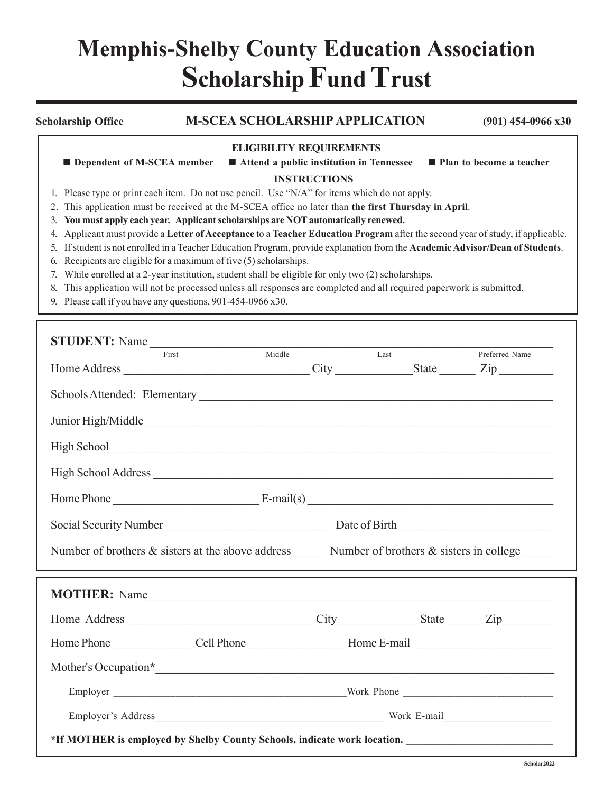## **Memphis-Shelby County Education Association Scholarship Fund Trust**

|    | <b>Scholarship Office</b>                                                                            |  | <b>M-SCEA SCHOLARSHIP APPLICATION</b>                                                                                       | $(901)$ 454-0966 x30       |  |  |
|----|------------------------------------------------------------------------------------------------------|--|-----------------------------------------------------------------------------------------------------------------------------|----------------------------|--|--|
|    |                                                                                                      |  | <b>ELIGIBILITY REQUIREMENTS</b>                                                                                             |                            |  |  |
|    | <b>Dependent of M-SCEA member</b>                                                                    |  | ■ Attend a public institution in Tennessee                                                                                  | ■ Plan to become a teacher |  |  |
|    |                                                                                                      |  | <b>INSTRUCTIONS</b>                                                                                                         |                            |  |  |
|    |                                                                                                      |  | Please type or print each item. Do not use pencil. Use "N/A" for items which do not apply.                                  |                            |  |  |
|    | 2. This application must be received at the M-SCEA office no later than the first Thursday in April. |  |                                                                                                                             |                            |  |  |
| 3. |                                                                                                      |  | You must apply each year. Applicant scholarships are NOT automatically renewed.                                             |                            |  |  |
|    |                                                                                                      |  | Applicant must provide a Letter of Acceptance to a Teacher Education Program after the second year of study, if applicable. |                            |  |  |
| 5. |                                                                                                      |  | If student is not enrolled in a Teacher Education Program, provide explanation from the Academic Advisor/Dean of Students.  |                            |  |  |
| 6. | Recipients are eligible for a maximum of five (5) scholarships.                                      |  |                                                                                                                             |                            |  |  |
|    | While enrolled at a 2-year institution, student shall be eligible for only two (2) scholarships.     |  |                                                                                                                             |                            |  |  |
| 8. |                                                                                                      |  | This application will not be processed unless all responses are completed and all required paperwork is submitted.          |                            |  |  |
|    | 9. Please call if you have any questions, 901-454-0966 x30.                                          |  |                                                                                                                             |                            |  |  |

| STUDENT: Name<br>First                                                                                                                                                                                                                           | Middle | Last | Preferred Name |
|--------------------------------------------------------------------------------------------------------------------------------------------------------------------------------------------------------------------------------------------------|--------|------|----------------|
|                                                                                                                                                                                                                                                  |        |      |                |
|                                                                                                                                                                                                                                                  |        |      |                |
| Junior High/Middle                                                                                                                                                                                                                               |        |      |                |
|                                                                                                                                                                                                                                                  |        |      |                |
| High School Address                                                                                                                                                                                                                              |        |      |                |
| $H$ ome Phone $E$ -mail(s) $E$ -mail(s) $E$ -mail(s) $E$ -mail(s) $E$ -mail(s) $E$ -mail(s) $E$ -mail(s) $E$ -mail(s) $E$ -mail(s) $E$ -mail(s) $E$ -mail(s) $E$ -mail(s) $E$ -mail(s) $E$ -mail(s) $E$ -mail(s) $E$ -mail(s) $E$ -mail(s) $E$ - |        |      |                |
|                                                                                                                                                                                                                                                  |        |      |                |
| Social Security Number<br><u>Date of Birth</u>                                                                                                                                                                                                   |        |      |                |
| Number of brothers & sisters at the above address Number of brothers & sisters in college                                                                                                                                                        |        |      |                |
|                                                                                                                                                                                                                                                  |        |      |                |
|                                                                                                                                                                                                                                                  |        |      |                |
|                                                                                                                                                                                                                                                  |        |      |                |
|                                                                                                                                                                                                                                                  |        |      |                |
|                                                                                                                                                                                                                                                  |        |      |                |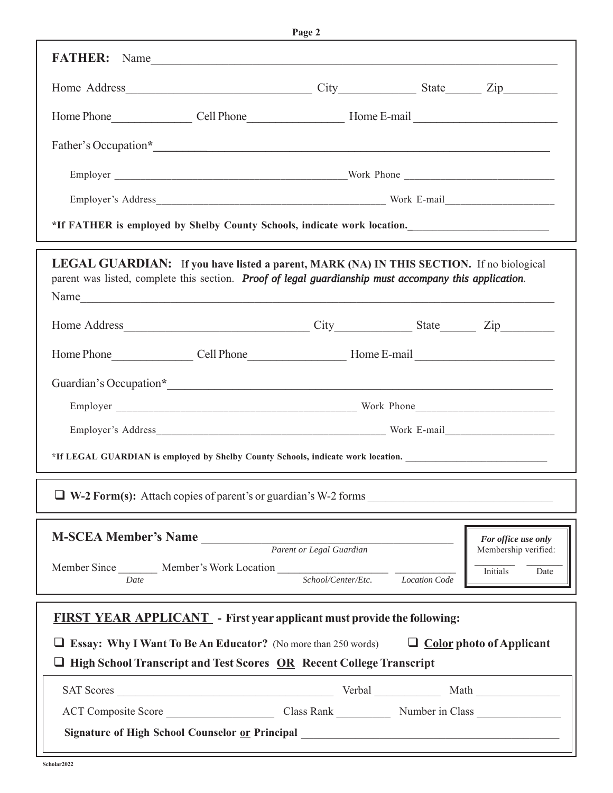| FATHER: Name                                                                                                                                                                                                      |  |                                          |
|-------------------------------------------------------------------------------------------------------------------------------------------------------------------------------------------------------------------|--|------------------------------------------|
| Home Phone Cell Phone Cell Phone Home E-mail                                                                                                                                                                      |  |                                          |
|                                                                                                                                                                                                                   |  |                                          |
|                                                                                                                                                                                                                   |  |                                          |
|                                                                                                                                                                                                                   |  |                                          |
|                                                                                                                                                                                                                   |  |                                          |
|                                                                                                                                                                                                                   |  |                                          |
| *If FATHER is employed by Shelby County Schools, indicate work location.                                                                                                                                          |  |                                          |
| <b>LEGAL GUARDIAN:</b> If you have listed a parent, MARK (NA) IN THIS SECTION. If no biological<br>parent was listed, complete this section. Proof of legal guardianship must accompany this application.<br>Name |  |                                          |
|                                                                                                                                                                                                                   |  |                                          |
| Home Phone Cell Phone Cell Phone Home E-mail                                                                                                                                                                      |  |                                          |
| Guardian's Occupation*                                                                                                                                                                                            |  |                                          |
|                                                                                                                                                                                                                   |  |                                          |
|                                                                                                                                                                                                                   |  |                                          |
| *If LEGAL GUARDIAN is employed by Shelby County Schools, indicate work location.                                                                                                                                  |  |                                          |
| $\Box$ W-2 Form(s): Attach copies of parent's or guardian's W-2 forms                                                                                                                                             |  |                                          |
| M-SCEA Member's Name Parent or Legal Guardian                                                                                                                                                                     |  | For office use only                      |
| Member Since Member's Work Location School/Center/Etc. Location Code                                                                                                                                              |  | Membership verified:<br>Initials<br>Date |
| <b>FIRST YEAR APPLICANT</b> - First year applicant must provide the following:                                                                                                                                    |  |                                          |
|                                                                                                                                                                                                                   |  |                                          |
| <b><math>\Box</math></b> Essay: Why I Want To Be An Educator? (No more than 250 words) $\Box$ Color photo of Applicant<br>$\Box$ High School Transcript and Test Scores $OR$ Recent College Transcript            |  |                                          |
|                                                                                                                                                                                                                   |  |                                          |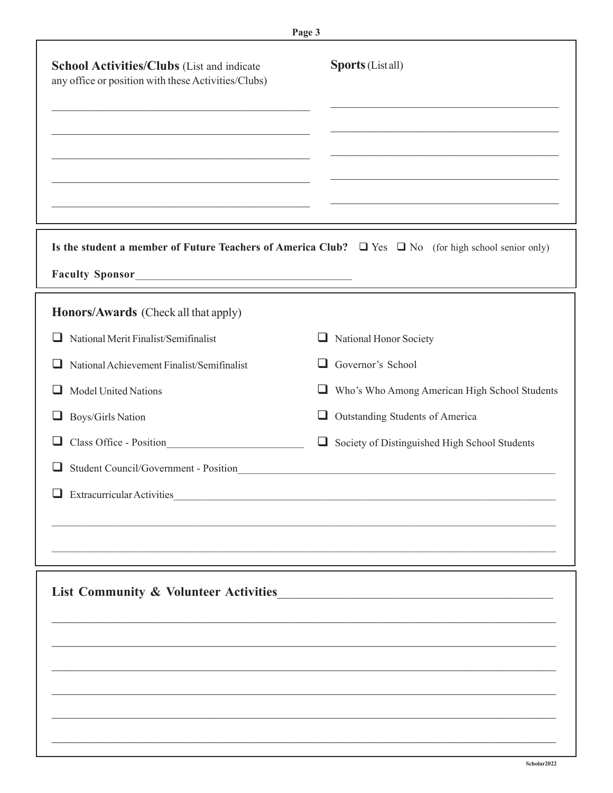|                                                                                                   | Page 3                                                                                                                                                                                                                                                                                                                                       |
|---------------------------------------------------------------------------------------------------|----------------------------------------------------------------------------------------------------------------------------------------------------------------------------------------------------------------------------------------------------------------------------------------------------------------------------------------------|
| School Activities/Clubs (List and indicate<br>any office or position with these Activities/Clubs) | <b>Sports</b> (List all)<br><u> 1989 - Johann John Stoff, deutscher Stoffen und der Stoffen und der Stoffen und der Stoffen und der Stoffen un</u><br>the control of the control of the control of the control of the control of the control of<br>the control of the control of the control of the control of the control of the control of |
|                                                                                                   | Is the student a member of Future Teachers of America Club? $\Box$ Yes $\Box$ No (for high school senior only)                                                                                                                                                                                                                               |
| Honors/Awards (Check all that apply)                                                              |                                                                                                                                                                                                                                                                                                                                              |
| National Merit Finalist/Semifinalist<br>ப                                                         | ⊔<br>National Honor Society                                                                                                                                                                                                                                                                                                                  |
| National Achievement Finalist/Semifinalist                                                        | Governor's School<br>ப                                                                                                                                                                                                                                                                                                                       |
| <b>Model United Nations</b><br>ப                                                                  | Who's Who Among American High School Students<br>⊔                                                                                                                                                                                                                                                                                           |
| Boys/Girls Nation<br>ப                                                                            | Outstanding Students of America                                                                                                                                                                                                                                                                                                              |
| Class Office - Position                                                                           | Society of Distinguished High School Students<br>⊔                                                                                                                                                                                                                                                                                           |
| Student Council/Government - Position<br>⊔.                                                       |                                                                                                                                                                                                                                                                                                                                              |
| <b>Extracurricular Activities</b>                                                                 |                                                                                                                                                                                                                                                                                                                                              |
|                                                                                                   |                                                                                                                                                                                                                                                                                                                                              |
|                                                                                                   |                                                                                                                                                                                                                                                                                                                                              |
| <b>List Community &amp; Volunteer Activities</b>                                                  |                                                                                                                                                                                                                                                                                                                                              |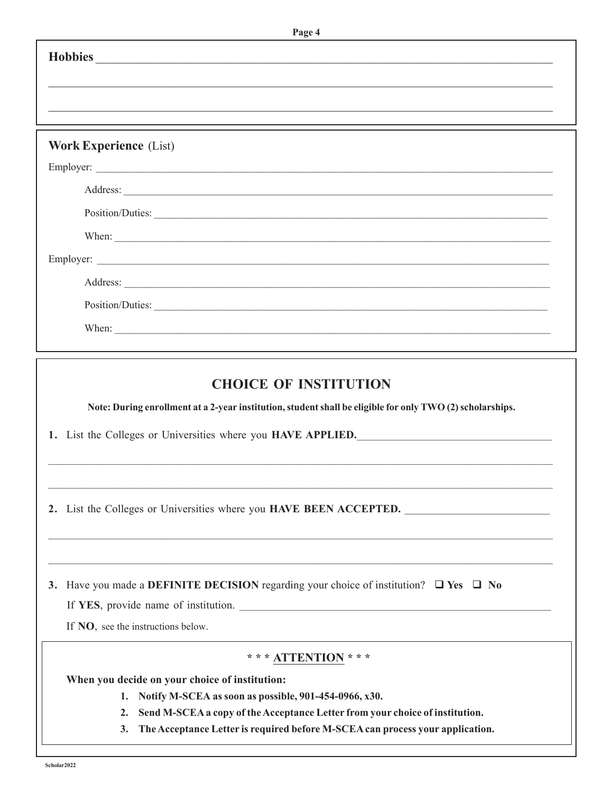| Page 4                                                                                                                                                                                                    |
|-----------------------------------------------------------------------------------------------------------------------------------------------------------------------------------------------------------|
|                                                                                                                                                                                                           |
|                                                                                                                                                                                                           |
|                                                                                                                                                                                                           |
|                                                                                                                                                                                                           |
| <b>Work Experience (List)</b>                                                                                                                                                                             |
|                                                                                                                                                                                                           |
| Address:                                                                                                                                                                                                  |
| Position/Duties:                                                                                                                                                                                          |
| When:                                                                                                                                                                                                     |
|                                                                                                                                                                                                           |
| Address:                                                                                                                                                                                                  |
| Position/Duties:                                                                                                                                                                                          |
| When:                                                                                                                                                                                                     |
|                                                                                                                                                                                                           |
| <b>CHOICE OF INSTITUTION</b><br>Note: During enrollment at a 2-year institution, student shall be eligible for only TWO (2) scholarships.<br>1. List the Colleges or Universities where you HAVE APPLIED. |
| <u> 1980 - An Dùbhlachd ann an Dùbhlachd ann an Dùbhlachd ann an Dùbhlachd ann an Dùbhlachd ann an Dùbhlachd ann </u>                                                                                     |
| 2. List the Colleges or Universities where you HAVE BEEN ACCEPTED.                                                                                                                                        |
| 3. Have you made a DEFINITE DECISION regarding your choice of institution? $\Box$ Yes $\Box$ No<br>If YES, provide name of institution.<br>If NO, see the instructions below.                             |
| *** ATTENTION ***                                                                                                                                                                                         |
| When you decide on your choice of institution:                                                                                                                                                            |
| 1. Notify M-SCEA as soon as possible, 901-454-0966, x30.                                                                                                                                                  |
| Send M-SCEA a copy of the Acceptance Letter from your choice of institution.<br>2.                                                                                                                        |
| The Acceptance Letter is required before M-SCEA can process your application.<br>3.                                                                                                                       |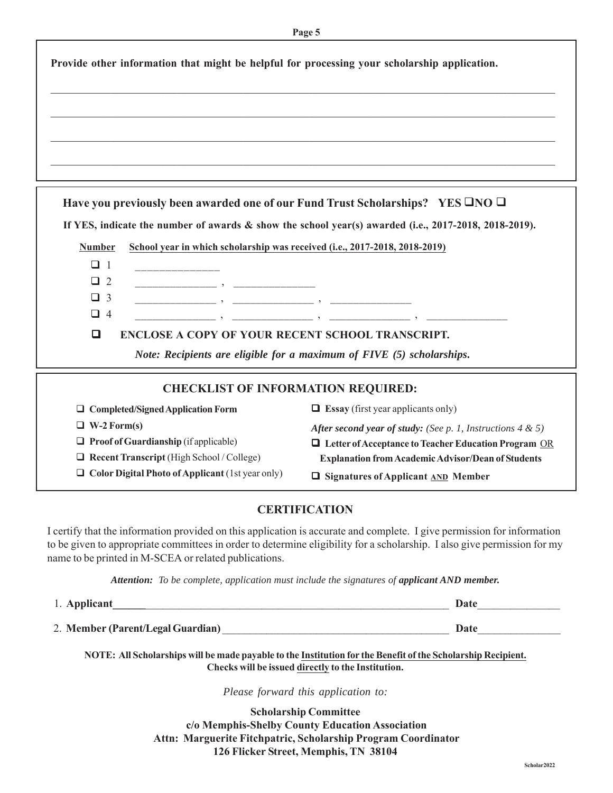|               | Provide other information that might be helpful for processing your scholarship application.                                                                                                                                                                                                           |                                                                                                                                                                                                                                         |
|---------------|--------------------------------------------------------------------------------------------------------------------------------------------------------------------------------------------------------------------------------------------------------------------------------------------------------|-----------------------------------------------------------------------------------------------------------------------------------------------------------------------------------------------------------------------------------------|
|               |                                                                                                                                                                                                                                                                                                        |                                                                                                                                                                                                                                         |
|               |                                                                                                                                                                                                                                                                                                        |                                                                                                                                                                                                                                         |
|               |                                                                                                                                                                                                                                                                                                        |                                                                                                                                                                                                                                         |
|               |                                                                                                                                                                                                                                                                                                        |                                                                                                                                                                                                                                         |
|               |                                                                                                                                                                                                                                                                                                        |                                                                                                                                                                                                                                         |
|               |                                                                                                                                                                                                                                                                                                        |                                                                                                                                                                                                                                         |
|               | Have you previously been awarded one of our Fund Trust Scholarships? YES $\Box$ NO $\Box$                                                                                                                                                                                                              |                                                                                                                                                                                                                                         |
|               |                                                                                                                                                                                                                                                                                                        | If YES, indicate the number of awards & show the school year(s) awarded (i.e., 2017-2018, 2018-2019).                                                                                                                                   |
|               |                                                                                                                                                                                                                                                                                                        |                                                                                                                                                                                                                                         |
| <b>Number</b> | School year in which scholarship was received (i.e., 2017-2018, 2018-2019)                                                                                                                                                                                                                             |                                                                                                                                                                                                                                         |
| $\Box$ 1      |                                                                                                                                                                                                                                                                                                        |                                                                                                                                                                                                                                         |
| $\Box$ 2      | <u> 2000 - Januar John Stein, mars (b. 1980)</u>                                                                                                                                                                                                                                                       |                                                                                                                                                                                                                                         |
| $\Box$ 3      | $\qquad \qquad \bullet$ . The contract of $\qquad \bullet$ . The contract of $\qquad \qquad \bullet$ . The contract of $\bullet$ is a set of $\bullet$ is a set of $\bullet$ is a set of $\bullet$ is a set of $\bullet$ is a set of $\bullet$ is a set of $\bullet$ is a set of $\bullet$ is a set of |                                                                                                                                                                                                                                         |
| $\Box$ 4      |                                                                                                                                                                                                                                                                                                        | . The contract of the contract of the contract of the contract of the contract of $\mathcal{S}$ , and $\mathcal{S}$ are contract of the contract of the contract of the contract of the contract of the contract of the contract of the |
| □             | ENCLOSE A COPY OF YOUR RECENT SCHOOL TRANSCRIPT.                                                                                                                                                                                                                                                       |                                                                                                                                                                                                                                         |
|               | Note: Recipients are eligible for a maximum of FIVE (5) scholarships.                                                                                                                                                                                                                                  |                                                                                                                                                                                                                                         |
|               | <b>CHECKLIST OF INFORMATION REQUIRED:</b>                                                                                                                                                                                                                                                              |                                                                                                                                                                                                                                         |
|               | $\Box$ Completed/Signed Application Form                                                                                                                                                                                                                                                               | $\Box$ <b>Essay</b> (first year applicants only)                                                                                                                                                                                        |

| $\Box$ Completed/Signed Application Form                | $\Box$ Essay (first year applicants only)                            |
|---------------------------------------------------------|----------------------------------------------------------------------|
| $\Box$ W-2 Form(s)                                      | <b>After second year of study:</b> (See p. 1, Instructions 4 $\&$ 5) |
| $\Box$ Proof of Guardianship (if applicable)            | $\Box$ Letter of Acceptance to Teacher Education Program OR          |
| $\Box$ Recent Transcript (High School / College)        | <b>Explanation from Academic Advisor/Dean of Students</b>            |
| $\Box$ Color Digital Photo of Applicant (1st year only) | $\Box$ Signatures of Applicant $\Box$ Member                         |

## **CERTIFICATION**

I certify that the information provided on this application is accurate and complete. I give permission for information to be given to appropriate committees in order to determine eligibility for a scholarship. I also give permission for my name to be printed in M-SCEA or related publications.

Attention: To be complete, application must include the signatures of applicant AND member.

| 1. Applicant                      | Date |
|-----------------------------------|------|
| 2. Member (Parent/Legal Guardian) | Date |

**NOTE: All Scholarships will be made payable to the Institution for the Benefit of the Scholarship Recipient.** Checks will be issued directly to the Institution.

*Please forward this application to:*

**Scholarship Committee c/o Memphis-Shelby County Education Association Attn: Marguerite Fitchpatric, Scholarship Program Coordinator 126 Flicker Street, Memphis, TN 38104**